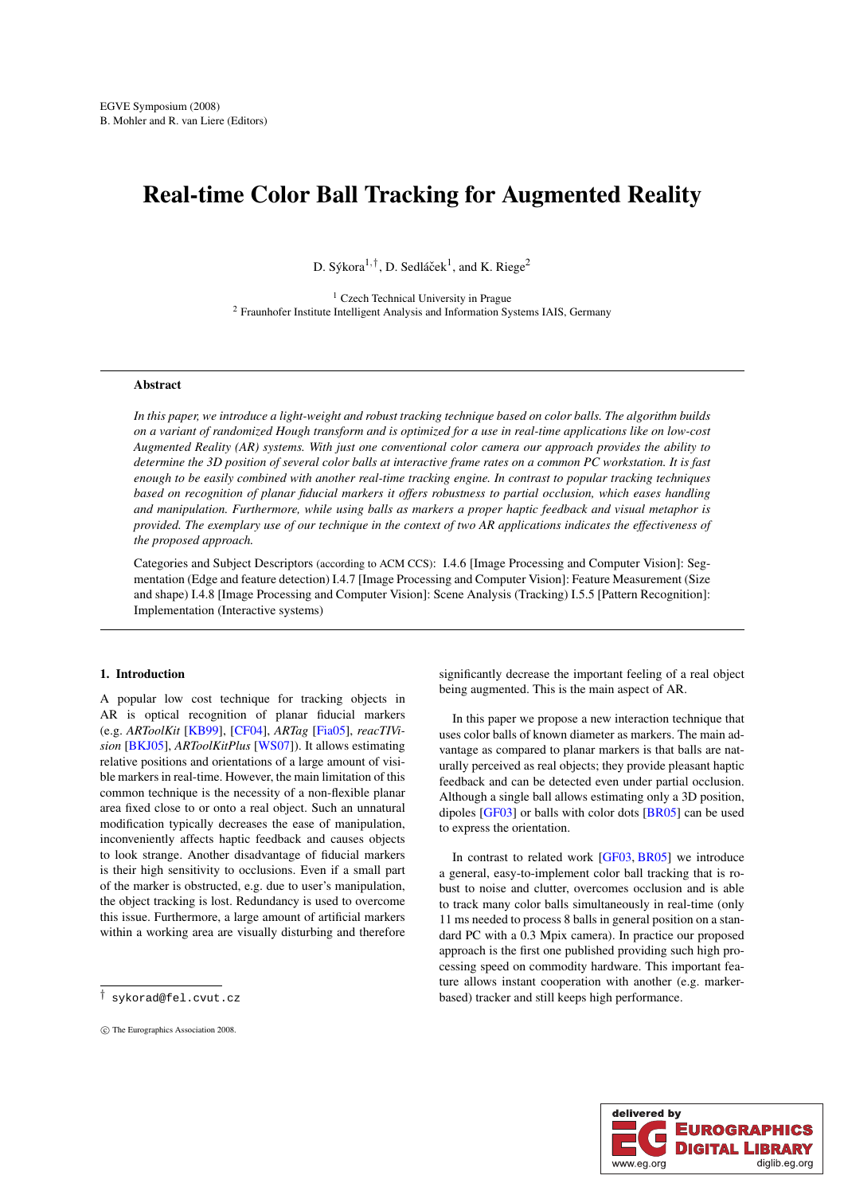# <span id="page-0-0"></span>Real-time Color Ball Tracking for Augmented Reality

D. Sýkora $1, \dagger$ , D. Sedláček $^1$ , and K. Riege<sup>2</sup>

<sup>1</sup> Czech Technical University in Prague <sup>2</sup> Fraunhofer Institute Intelligent Analysis and Information Systems IAIS, Germany

### Abstract

*In this paper, we introduce a light-weight and robust tracking technique based on color balls. The algorithm builds on a variant of randomized Hough transform and is optimized for a use in real-time applications like on low-cost Augmented Reality (AR) systems. With just one conventional color camera our approach provides the ability to determine the 3D position of several color balls at interactive frame rates on a common PC workstation. It is fast enough to be easily combined with another real-time tracking engine. In contrast to popular tracking techniques based on recognition of planar fiducial markers it offers robustness to partial occlusion, which eases handling and manipulation. Furthermore, while using balls as markers a proper haptic feedback and visual metaphor is provided. The exemplary use of our technique in the context of two AR applications indicates the effectiveness of the proposed approach.*

Categories and Subject Descriptors (according to ACM CCS): I.4.6 [Image Processing and Computer Vision]: Segmentation (Edge and feature detection) I.4.7 [Image Processing and Computer Vision]: Feature Measurement (Size and shape) I.4.8 [Image Processing and Computer Vision]: Scene Analysis (Tracking) I.5.5 [Pattern Recognition]: Implementation (Interactive systems)

# 1. Introduction

A popular low cost technique for tracking objects in AR is optical recognition of planar fiducial markers (e.g. *ARToolKit* [\[KB99\]](#page-7-0), [\[CF04\]](#page-7-1), *ARTag* [\[Fia05\]](#page-7-2), *reacTIVision* [\[BKJ05\]](#page-7-3), *ARToolKitPlus* [\[WS07\]](#page-7-4)). It allows estimating relative positions and orientations of a large amount of visible markers in real-time. However, the main limitation of this common technique is the necessity of a non-flexible planar area fixed close to or onto a real object. Such an unnatural modification typically decreases the ease of manipulation, inconveniently affects haptic feedback and causes objects to look strange. Another disadvantage of fiducial markers is their high sensitivity to occlusions. Even if a small part of the marker is obstructed, e.g. due to user's manipulation, the object tracking is lost. Redundancy is used to overcome this issue. Furthermore, a large amount of artificial markers within a working area are visually disturbing and therefore

significantly decrease the important feeling of a real object being augmented. This is the main aspect of AR.

In this paper we propose a new interaction technique that uses color balls of known diameter as markers. The main advantage as compared to planar markers is that balls are naturally perceived as real objects; they provide pleasant haptic feedback and can be detected even under partial occlusion. Although a single ball allows estimating only a 3D position, dipoles [\[GF03\]](#page-7-5) or balls with color dots [\[BR05\]](#page-7-6) can be used to express the orientation.

In contrast to related work [\[GF03,](#page-7-5) [BR05\]](#page-7-6) we introduce a general, easy-to-implement color ball tracking that is robust to noise and clutter, overcomes occlusion and is able to track many color balls simultaneously in real-time (only 11 ms needed to process 8 balls in general position on a standard PC with a 0.3 Mpix camera). In practice our proposed approach is the first one published providing such high processing speed on commodity hardware. This important feature allows instant cooperation with another (e.g. markerbased) tracker and still keeps high performance.



<sup>†</sup> sykorad@fel.cvut.cz

c The Eurographics Association 2008.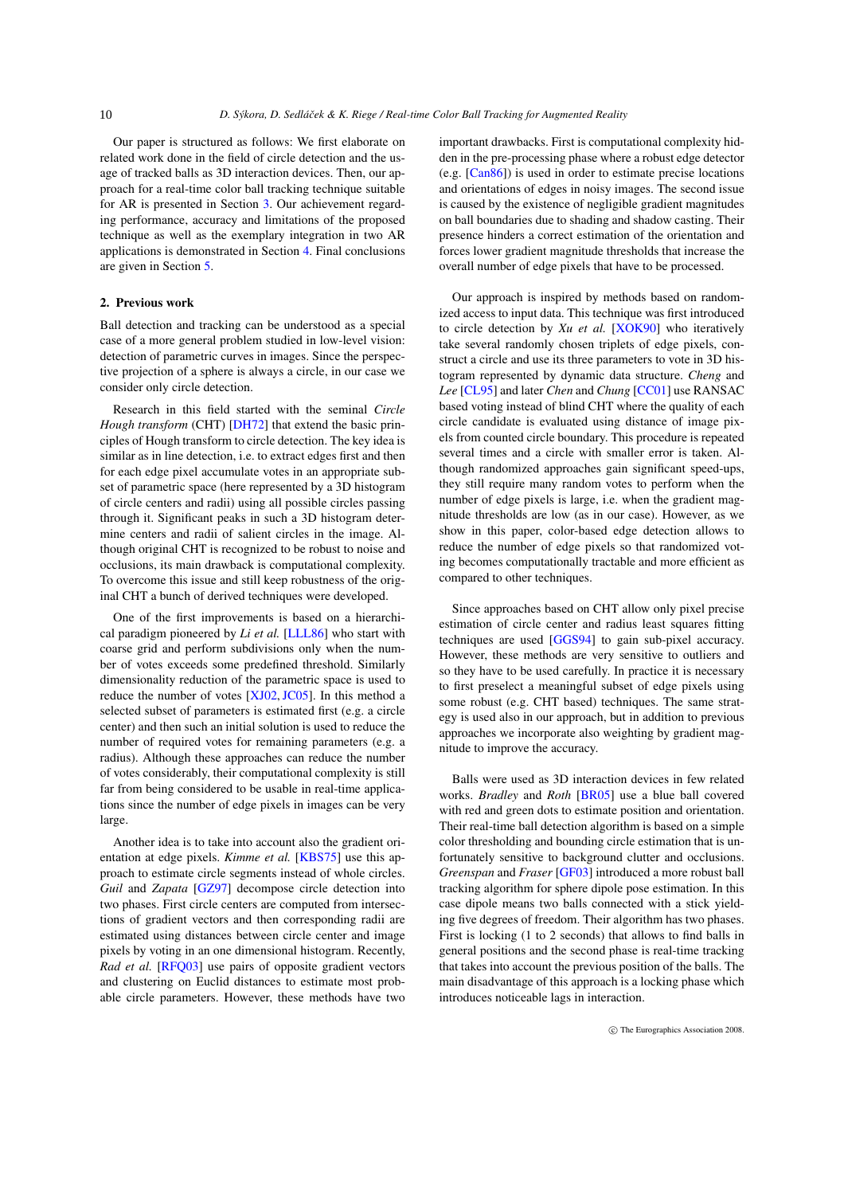<span id="page-1-0"></span>Our paper is structured as follows: We first elaborate on related work done in the field of circle detection and the usage of tracked balls as 3D interaction devices. Then, our approach for a real-time color ball tracking technique suitable for AR is presented in Section [3.](#page-2-0) Our achievement regarding performance, accuracy and limitations of the proposed technique as well as the exemplary integration in two AR applications is demonstrated in Section [4.](#page-5-0) Final conclusions are given in Section [5.](#page-6-0)

# 2. Previous work

Ball detection and tracking can be understood as a special case of a more general problem studied in low-level vision: detection of parametric curves in images. Since the perspective projection of a sphere is always a circle, in our case we consider only circle detection.

Research in this field started with the seminal *Circle Hough transform* (CHT) [\[DH72\]](#page-7-7) that extend the basic principles of Hough transform to circle detection. The key idea is similar as in line detection, i.e. to extract edges first and then for each edge pixel accumulate votes in an appropriate subset of parametric space (here represented by a 3D histogram of circle centers and radii) using all possible circles passing through it. Significant peaks in such a 3D histogram determine centers and radii of salient circles in the image. Although original CHT is recognized to be robust to noise and occlusions, its main drawback is computational complexity. To overcome this issue and still keep robustness of the original CHT a bunch of derived techniques were developed.

One of the first improvements is based on a hierarchical paradigm pioneered by *Li et al.* [\[LLL86\]](#page-7-8) who start with coarse grid and perform subdivisions only when the number of votes exceeds some predefined threshold. Similarly dimensionality reduction of the parametric space is used to reduce the number of votes [\[XJ02,](#page-7-9) [JC05\]](#page-7-10). In this method a selected subset of parameters is estimated first (e.g. a circle center) and then such an initial solution is used to reduce the number of required votes for remaining parameters (e.g. a radius). Although these approaches can reduce the number of votes considerably, their computational complexity is still far from being considered to be usable in real-time applications since the number of edge pixels in images can be very large.

Another idea is to take into account also the gradient orientation at edge pixels. *Kimme et al.* [\[KBS75\]](#page-7-11) use this approach to estimate circle segments instead of whole circles. *Guil* and *Zapata* [\[GZ97\]](#page-7-12) decompose circle detection into two phases. First circle centers are computed from intersections of gradient vectors and then corresponding radii are estimated using distances between circle center and image pixels by voting in an one dimensional histogram. Recently, *Rad et al.* [\[RFQ03\]](#page-7-13) use pairs of opposite gradient vectors and clustering on Euclid distances to estimate most probable circle parameters. However, these methods have two important drawbacks. First is computational complexity hidden in the pre-processing phase where a robust edge detector (e.g. [\[Can86\]](#page-7-14)) is used in order to estimate precise locations and orientations of edges in noisy images. The second issue is caused by the existence of negligible gradient magnitudes on ball boundaries due to shading and shadow casting. Their presence hinders a correct estimation of the orientation and forces lower gradient magnitude thresholds that increase the overall number of edge pixels that have to be processed.

Our approach is inspired by methods based on randomized access to input data. This technique was first introduced to circle detection by *Xu et al.* [\[XOK90\]](#page-7-15) who iteratively take several randomly chosen triplets of edge pixels, construct a circle and use its three parameters to vote in 3D histogram represented by dynamic data structure. *Cheng* and *Lee* [\[CL95\]](#page-7-16) and later *Chen* and *Chung* [\[CC01\]](#page-7-17) use RANSAC based voting instead of blind CHT where the quality of each circle candidate is evaluated using distance of image pixels from counted circle boundary. This procedure is repeated several times and a circle with smaller error is taken. Although randomized approaches gain significant speed-ups, they still require many random votes to perform when the number of edge pixels is large, i.e. when the gradient magnitude thresholds are low (as in our case). However, as we show in this paper, color-based edge detection allows to reduce the number of edge pixels so that randomized voting becomes computationally tractable and more efficient as compared to other techniques.

Since approaches based on CHT allow only pixel precise estimation of circle center and radius least squares fitting techniques are used [\[GGS94\]](#page-7-18) to gain sub-pixel accuracy. However, these methods are very sensitive to outliers and so they have to be used carefully. In practice it is necessary to first preselect a meaningful subset of edge pixels using some robust (e.g. CHT based) techniques. The same strategy is used also in our approach, but in addition to previous approaches we incorporate also weighting by gradient magnitude to improve the accuracy.

Balls were used as 3D interaction devices in few related works. *Bradley* and *Roth* [\[BR05\]](#page-7-6) use a blue ball covered with red and green dots to estimate position and orientation. Their real-time ball detection algorithm is based on a simple color thresholding and bounding circle estimation that is unfortunately sensitive to background clutter and occlusions. *Greenspan* and *Fraser* [\[GF03\]](#page-7-5) introduced a more robust ball tracking algorithm for sphere dipole pose estimation. In this case dipole means two balls connected with a stick yielding five degrees of freedom. Their algorithm has two phases. First is locking (1 to 2 seconds) that allows to find balls in general positions and the second phase is real-time tracking that takes into account the previous position of the balls. The main disadvantage of this approach is a locking phase which introduces noticeable lags in interaction.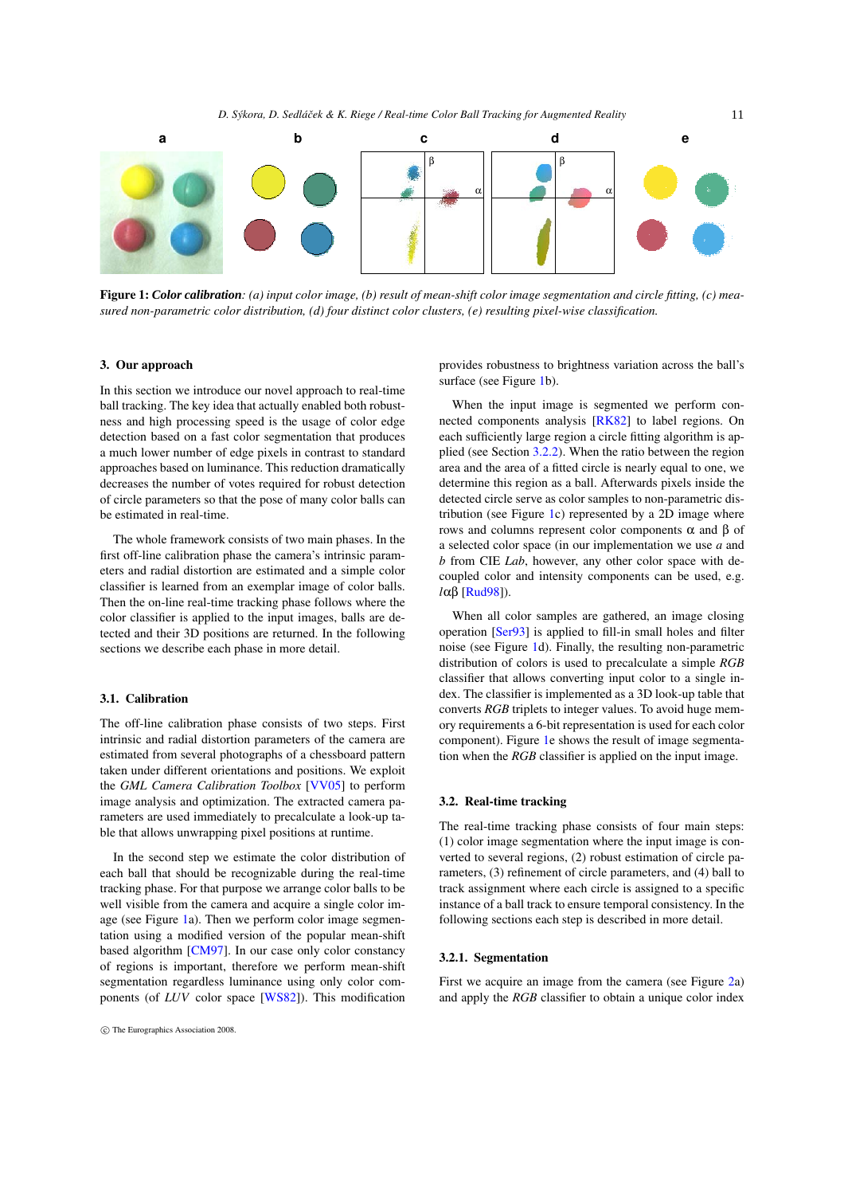<span id="page-2-2"></span>

<span id="page-2-1"></span>Figure 1: *Color calibration: (a) input color image, (b) result of mean-shift color image segmentation and circle fitting, (c) measured non-parametric color distribution, (d) four distinct color clusters, (e) resulting pixel-wise classification.*

#### <span id="page-2-0"></span>3. Our approach

In this section we introduce our novel approach to real-time ball tracking. The key idea that actually enabled both robustness and high processing speed is the usage of color edge detection based on a fast color segmentation that produces a much lower number of edge pixels in contrast to standard approaches based on luminance. This reduction dramatically decreases the number of votes required for robust detection of circle parameters so that the pose of many color balls can be estimated in real-time.

The whole framework consists of two main phases. In the first off-line calibration phase the camera's intrinsic parameters and radial distortion are estimated and a simple color classifier is learned from an exemplar image of color balls. Then the on-line real-time tracking phase follows where the color classifier is applied to the input images, balls are detected and their 3D positions are returned. In the following sections we describe each phase in more detail.

# 3.1. Calibration

The off-line calibration phase consists of two steps. First intrinsic and radial distortion parameters of the camera are estimated from several photographs of a chessboard pattern taken under different orientations and positions. We exploit the *GML Camera Calibration Toolbox* [\[VV05\]](#page-7-19) to perform image analysis and optimization. The extracted camera parameters are used immediately to precalculate a look-up table that allows unwrapping pixel positions at runtime.

In the second step we estimate the color distribution of each ball that should be recognizable during the real-time tracking phase. For that purpose we arrange color balls to be well visible from the camera and acquire a single color image (see Figure [1a](#page-2-1)). Then we perform color image segmentation using a modified version of the popular mean-shift based algorithm [\[CM97\]](#page-7-20). In our case only color constancy of regions is important, therefore we perform mean-shift segmentation regardless luminance using only color components (of *LUV* color space [\[WS82\]](#page-7-21)). This modification

provides robustness to brightness variation across the ball's surface (see Figure [1b](#page-2-1)).

When the input image is segmented we perform connected components analysis [\[RK82\]](#page-7-22) to label regions. On each sufficiently large region a circle fitting algorithm is applied (see Section [3.2.2\)](#page-3-0). When the ratio between the region area and the area of a fitted circle is nearly equal to one, we determine this region as a ball. Afterwards pixels inside the detected circle serve as color samples to non-parametric dis-tribution (see Figure [1c](#page-2-1)) represented by a  $2\overline{D}$  image where rows and columns represent color components α and β of a selected color space (in our implementation we use *a* and *b* from CIE *Lab*, however, any other color space with decoupled color and intensity components can be used, e.g. *l*αβ [\[Rud98\]](#page-7-23)).

When all color samples are gathered, an image closing operation [\[Ser93\]](#page-7-24) is applied to fill-in small holes and filter noise (see Figure [1d](#page-2-1)). Finally, the resulting non-parametric distribution of colors is used to precalculate a simple *RGB* classifier that allows converting input color to a single index. The classifier is implemented as a 3D look-up table that converts *RGB* triplets to integer values. To avoid huge memory requirements a 6-bit representation is used for each color component). Figure [1e](#page-2-1) shows the result of image segmentation when the *RGB* classifier is applied on the input image.

#### 3.2. Real-time tracking

The real-time tracking phase consists of four main steps: (1) color image segmentation where the input image is converted to several regions, (2) robust estimation of circle parameters, (3) refinement of circle parameters, and (4) ball to track assignment where each circle is assigned to a specific instance of a ball track to ensure temporal consistency. In the following sections each step is described in more detail.

#### 3.2.1. Segmentation

First we acquire an image from the camera (see Figure [2a](#page-3-1)) and apply the *RGB* classifier to obtain a unique color index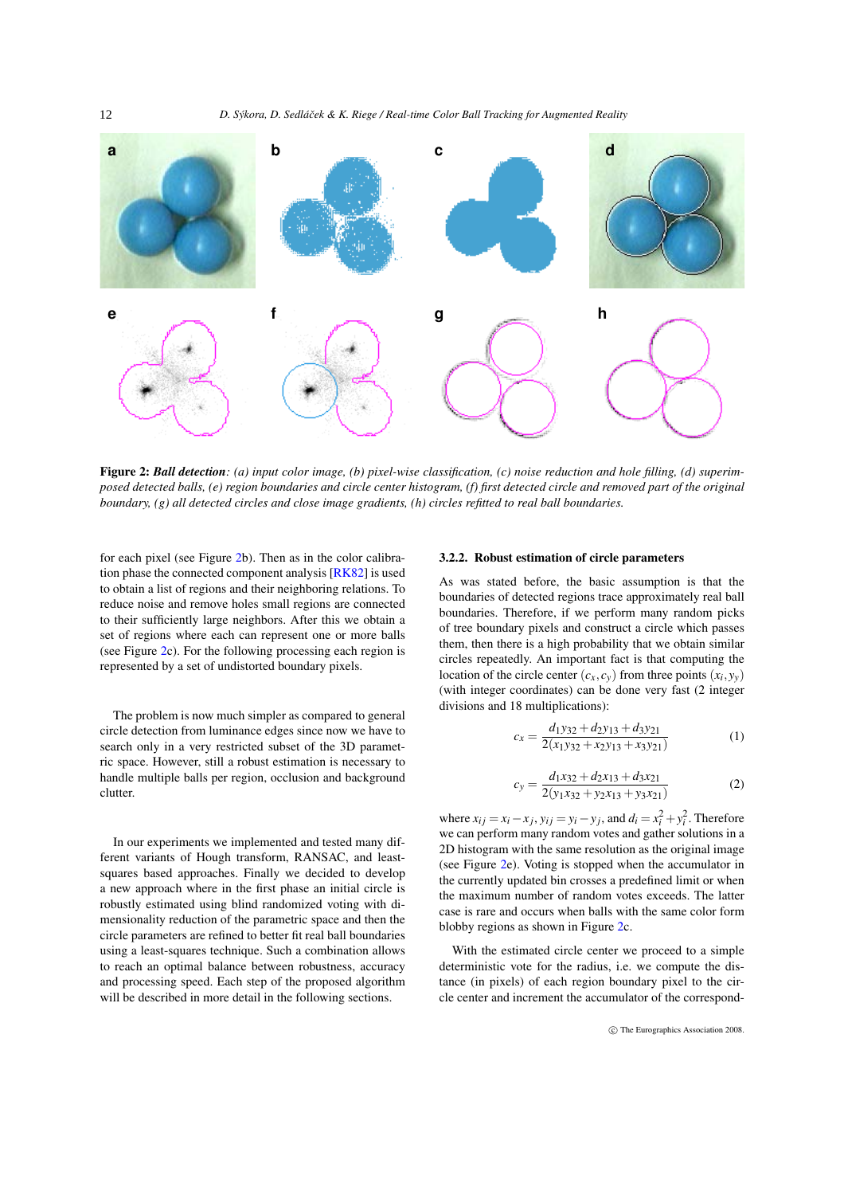<span id="page-3-2"></span>

<span id="page-3-1"></span>Figure 2: *Ball detection: (a) input color image, (b) pixel-wise classification, (c) noise reduction and hole filling, (d) superimposed detected balls, (e) region boundaries and circle center histogram, (f) first detected circle and removed part of the original boundary, (g) all detected circles and close image gradients, (h) circles refitted to real ball boundaries.*

for each pixel (see Figure [2b](#page-3-1)). Then as in the color calibration phase the connected component analysis [\[RK82\]](#page-7-22) is used to obtain a list of regions and their neighboring relations. To reduce noise and remove holes small regions are connected to their sufficiently large neighbors. After this we obtain a set of regions where each can represent one or more balls (see Figure [2c](#page-3-1)). For the following processing each region is represented by a set of undistorted boundary pixels.

The problem is now much simpler as compared to general circle detection from luminance edges since now we have to search only in a very restricted subset of the 3D parametric space. However, still a robust estimation is necessary to handle multiple balls per region, occlusion and background clutter.

In our experiments we implemented and tested many different variants of Hough transform, RANSAC, and leastsquares based approaches. Finally we decided to develop a new approach where in the first phase an initial circle is robustly estimated using blind randomized voting with dimensionality reduction of the parametric space and then the circle parameters are refined to better fit real ball boundaries using a least-squares technique. Such a combination allows to reach an optimal balance between robustness, accuracy and processing speed. Each step of the proposed algorithm will be described in more detail in the following sections.

# <span id="page-3-0"></span>3.2.2. Robust estimation of circle parameters

As was stated before, the basic assumption is that the boundaries of detected regions trace approximately real ball boundaries. Therefore, if we perform many random picks of tree boundary pixels and construct a circle which passes them, then there is a high probability that we obtain similar circles repeatedly. An important fact is that computing the location of the circle center  $(c_x, c_y)$  from three points  $(x_i, y_y)$ (with integer coordinates) can be done very fast (2 integer divisions and 18 multiplications):

$$
c_x = \frac{d_1y_{32} + d_2y_{13} + d_3y_{21}}{2(x_1y_{32} + x_2y_{13} + x_3y_{21})}
$$
(1)

$$
c_y = \frac{d_1x_{32} + d_2x_{13} + d_3x_{21}}{2(y_1x_{32} + y_2x_{13} + y_3x_{21})}
$$
(2)

where  $x_{ij} = x_i - x_j$ ,  $y_{ij} = y_i - y_j$ , and  $d_i = x_i^2 + y_i^2$ . Therefore we can perform many random votes and gather solutions in a 2D histogram with the same resolution as the original image (see Figure [2e](#page-3-1)). Voting is stopped when the accumulator in the currently updated bin crosses a predefined limit or when the maximum number of random votes exceeds. The latter case is rare and occurs when balls with the same color form blobby regions as shown in Figure [2c](#page-3-1).

With the estimated circle center we proceed to a simple deterministic vote for the radius, i.e. we compute the distance (in pixels) of each region boundary pixel to the circle center and increment the accumulator of the correspond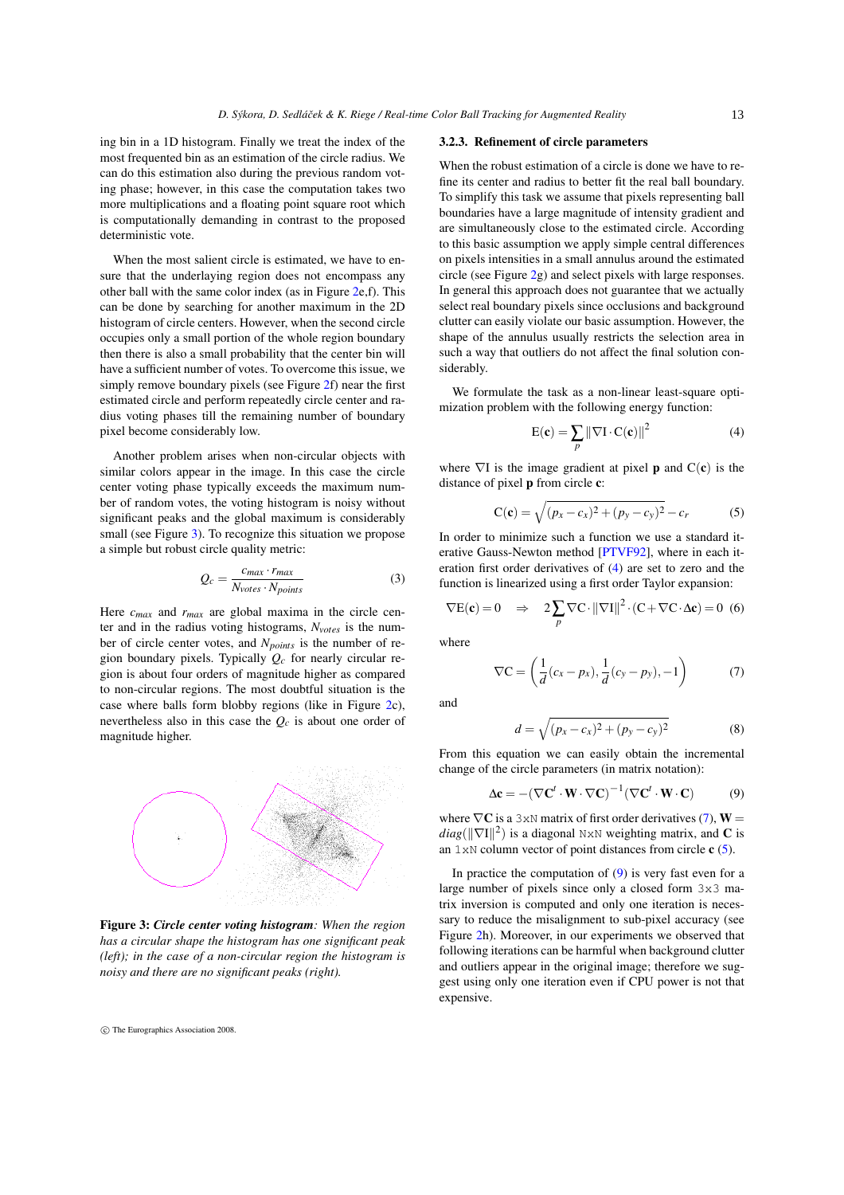<span id="page-4-6"></span>ing bin in a 1D histogram. Finally we treat the index of the most frequented bin as an estimation of the circle radius. We can do this estimation also during the previous random voting phase; however, in this case the computation takes two more multiplications and a floating point square root which is computationally demanding in contrast to the proposed deterministic vote.

When the most salient circle is estimated, we have to ensure that the underlaying region does not encompass any other ball with the same color index (as in Figure [2e](#page-3-1),f). This can be done by searching for another maximum in the 2D histogram of circle centers. However, when the second circle occupies only a small portion of the whole region boundary then there is also a small probability that the center bin will have a sufficient number of votes. To overcome this issue, we simply remove boundary pixels (see Figure [2f](#page-3-1)) near the first estimated circle and perform repeatedly circle center and radius voting phases till the remaining number of boundary pixel become considerably low.

Another problem arises when non-circular objects with similar colors appear in the image. In this case the circle center voting phase typically exceeds the maximum number of random votes, the voting histogram is noisy without significant peaks and the global maximum is considerably small (see Figure [3\)](#page-4-0). To recognize this situation we propose a simple but robust circle quality metric:

$$
Q_c = \frac{c_{max} \cdot r_{max}}{N_{votes} \cdot N_{points}} \tag{3}
$$

Here *cmax* and *rmax* are global maxima in the circle center and in the radius voting histograms, *Nvotes* is the number of circle center votes, and *N<sub>points</sub>* is the number of region boundary pixels. Typically  $Q_c$  for nearly circular region is about four orders of magnitude higher as compared to non-circular regions. The most doubtful situation is the case where balls form blobby regions (like in Figure [2c](#page-3-1)), nevertheless also in this case the *Qc* is about one order of magnitude higher.



<span id="page-4-0"></span>Figure 3: *Circle center voting histogram: When the region has a circular shape the histogram has one significant peak (left); in the case of a non-circular region the histogram is noisy and there are no significant peaks (right).*

c The Eurographics Association 2008.

#### <span id="page-4-5"></span>3.2.3. Refinement of circle parameters

When the robust estimation of a circle is done we have to refine its center and radius to better fit the real ball boundary. To simplify this task we assume that pixels representing ball boundaries have a large magnitude of intensity gradient and are simultaneously close to the estimated circle. According to this basic assumption we apply simple central differences on pixels intensities in a small annulus around the estimated circle (see Figure [2g](#page-3-1)) and select pixels with large responses. In general this approach does not guarantee that we actually select real boundary pixels since occlusions and background clutter can easily violate our basic assumption. However, the shape of the annulus usually restricts the selection area in such a way that outliers do not affect the final solution considerably.

We formulate the task as a non-linear least-square optimization problem with the following energy function:

<span id="page-4-1"></span>
$$
E(\mathbf{c}) = \sum_{p} \|\nabla I \cdot C(\mathbf{c})\|^2
$$
 (4)

where  $\nabla I$  is the image gradient at pixel **p** and  $C(c)$  is the distance of pixel p from circle c:

<span id="page-4-3"></span>
$$
C(c) = \sqrt{(p_x - c_x)^2 + (p_y - c_y)^2} - c_r
$$
 (5)

In order to minimize such a function we use a standard iterative Gauss-Newton method [\[PTVF92\]](#page-7-25), where in each iteration first order derivatives of [\(4\)](#page-4-1) are set to zero and the function is linearized using a first order Taylor expansion:

$$
\nabla E(\mathbf{c}) = 0 \quad \Rightarrow \quad 2 \sum_{p} \nabla C \cdot ||\nabla I||^2 \cdot (C + \nabla C \cdot \Delta \mathbf{c}) = 0 \tag{6}
$$

where

<span id="page-4-2"></span>
$$
\nabla \mathbf{C} = \left(\frac{1}{d}(c_x - p_x), \frac{1}{d}(c_y - p_y), -1\right) \tag{7}
$$

and

$$
d = \sqrt{(p_x - c_x)^2 + (p_y - c_y)^2}
$$
 (8)

From this equation we can easily obtain the incremental change of the circle parameters (in matrix notation):

<span id="page-4-4"></span>
$$
\Delta \mathbf{c} = -(\nabla \mathbf{C}^t \cdot \mathbf{W} \cdot \nabla \mathbf{C})^{-1} (\nabla \mathbf{C}^t \cdot \mathbf{W} \cdot \mathbf{C}) \tag{9}
$$

where  $\nabla C$  is a 3xN matrix of first order derivatives [\(7\)](#page-4-2),  $W =$  $diag(||\nabla I||^2)$  is a diagonal NxN weighting matrix, and **C** is an  $1 \times N$  column vector of point distances from circle  $c(5)$  $c(5)$ .

In practice the computation of [\(9\)](#page-4-4) is very fast even for a large number of pixels since only a closed form 3x3 matrix inversion is computed and only one iteration is necessary to reduce the misalignment to sub-pixel accuracy (see Figure [2h](#page-3-1)). Moreover, in our experiments we observed that following iterations can be harmful when background clutter and outliers appear in the original image; therefore we suggest using only one iteration even if CPU power is not that expensive.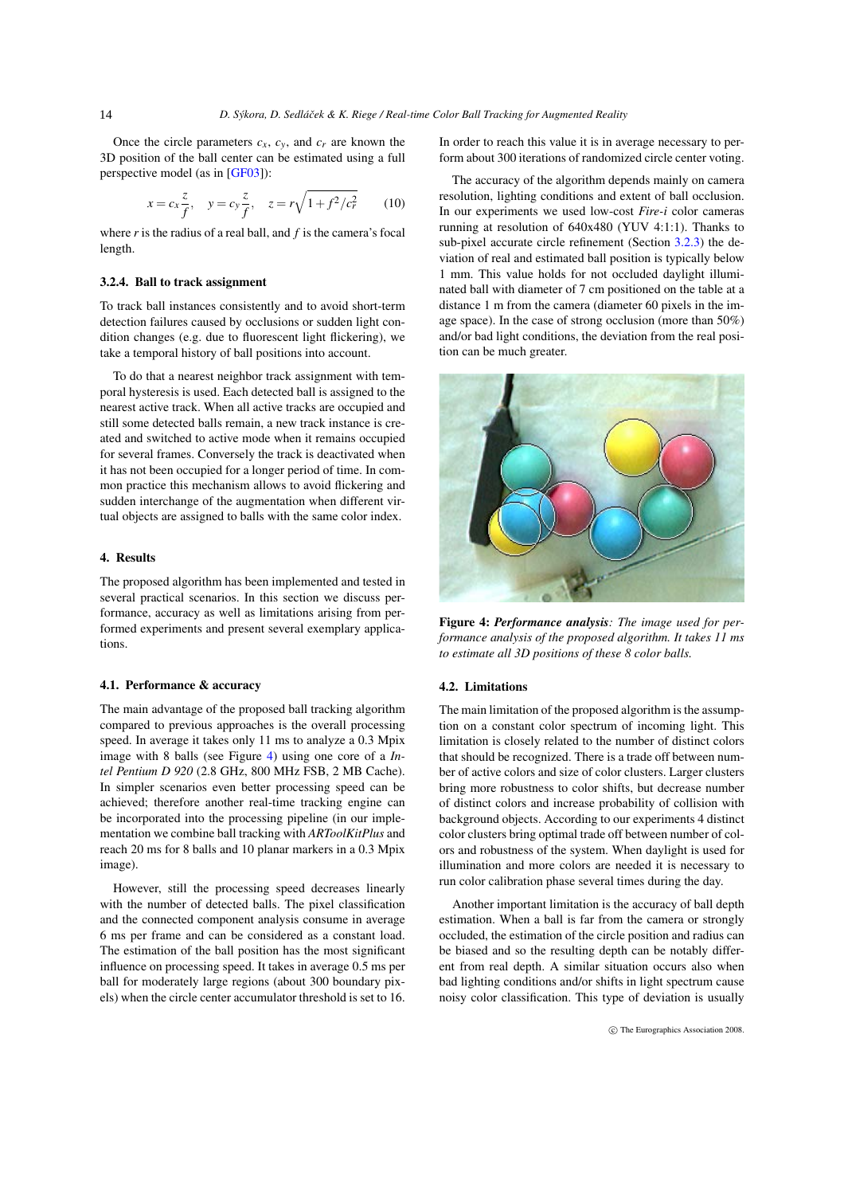<span id="page-5-2"></span>Once the circle parameters  $c_x$ ,  $c_y$ , and  $c_r$  are known the 3D position of the ball center can be estimated using a full perspective model (as in [\[GF03\]](#page-7-5)):

$$
x = c_x \frac{z}{f}
$$
,  $y = c_y \frac{z}{f}$ ,  $z = r\sqrt{1 + f^2/c_r^2}$  (10)

where *r* is the radius of a real ball, and *f* is the camera's focal length.

#### 3.2.4. Ball to track assignment

To track ball instances consistently and to avoid short-term detection failures caused by occlusions or sudden light condition changes (e.g. due to fluorescent light flickering), we take a temporal history of ball positions into account.

To do that a nearest neighbor track assignment with temporal hysteresis is used. Each detected ball is assigned to the nearest active track. When all active tracks are occupied and still some detected balls remain, a new track instance is created and switched to active mode when it remains occupied for several frames. Conversely the track is deactivated when it has not been occupied for a longer period of time. In common practice this mechanism allows to avoid flickering and sudden interchange of the augmentation when different virtual objects are assigned to balls with the same color index.

# <span id="page-5-0"></span>4. Results

The proposed algorithm has been implemented and tested in several practical scenarios. In this section we discuss performance, accuracy as well as limitations arising from performed experiments and present several exemplary applications.

#### 4.1. Performance & accuracy

The main advantage of the proposed ball tracking algorithm compared to previous approaches is the overall processing speed. In average it takes only 11 ms to analyze a 0.3 Mpix image with 8 balls (see Figure [4\)](#page-5-1) using one core of a *Intel Pentium D 920* (2.8 GHz, 800 MHz FSB, 2 MB Cache). In simpler scenarios even better processing speed can be achieved; therefore another real-time tracking engine can be incorporated into the processing pipeline (in our implementation we combine ball tracking with *ARToolKitPlus* and reach 20 ms for 8 balls and 10 planar markers in a 0.3 Mpix image).

However, still the processing speed decreases linearly with the number of detected balls. The pixel classification and the connected component analysis consume in average 6 ms per frame and can be considered as a constant load. The estimation of the ball position has the most significant influence on processing speed. It takes in average 0.5 ms per ball for moderately large regions (about 300 boundary pixels) when the circle center accumulator threshold is set to 16.

In order to reach this value it is in average necessary to perform about 300 iterations of randomized circle center voting.

The accuracy of the algorithm depends mainly on camera resolution, lighting conditions and extent of ball occlusion. In our experiments we used low-cost *Fire-i* color cameras running at resolution of 640x480 (YUV 4:1:1). Thanks to sub-pixel accurate circle refinement (Section [3.2.3\)](#page-4-5) the deviation of real and estimated ball position is typically below 1 mm. This value holds for not occluded daylight illuminated ball with diameter of 7 cm positioned on the table at a distance 1 m from the camera (diameter 60 pixels in the image space). In the case of strong occlusion (more than 50%) and/or bad light conditions, the deviation from the real position can be much greater.



Figure 4: *Performance analysis: The image used for performance analysis of the proposed algorithm. It takes 11 ms to estimate all 3D positions of these 8 color balls.*

# <span id="page-5-1"></span>4.2. Limitations

The main limitation of the proposed algorithm is the assumption on a constant color spectrum of incoming light. This limitation is closely related to the number of distinct colors that should be recognized. There is a trade off between number of active colors and size of color clusters. Larger clusters bring more robustness to color shifts, but decrease number of distinct colors and increase probability of collision with background objects. According to our experiments 4 distinct color clusters bring optimal trade off between number of colors and robustness of the system. When daylight is used for illumination and more colors are needed it is necessary to run color calibration phase several times during the day.

Another important limitation is the accuracy of ball depth estimation. When a ball is far from the camera or strongly occluded, the estimation of the circle position and radius can be biased and so the resulting depth can be notably different from real depth. A similar situation occurs also when bad lighting conditions and/or shifts in light spectrum cause noisy color classification. This type of deviation is usually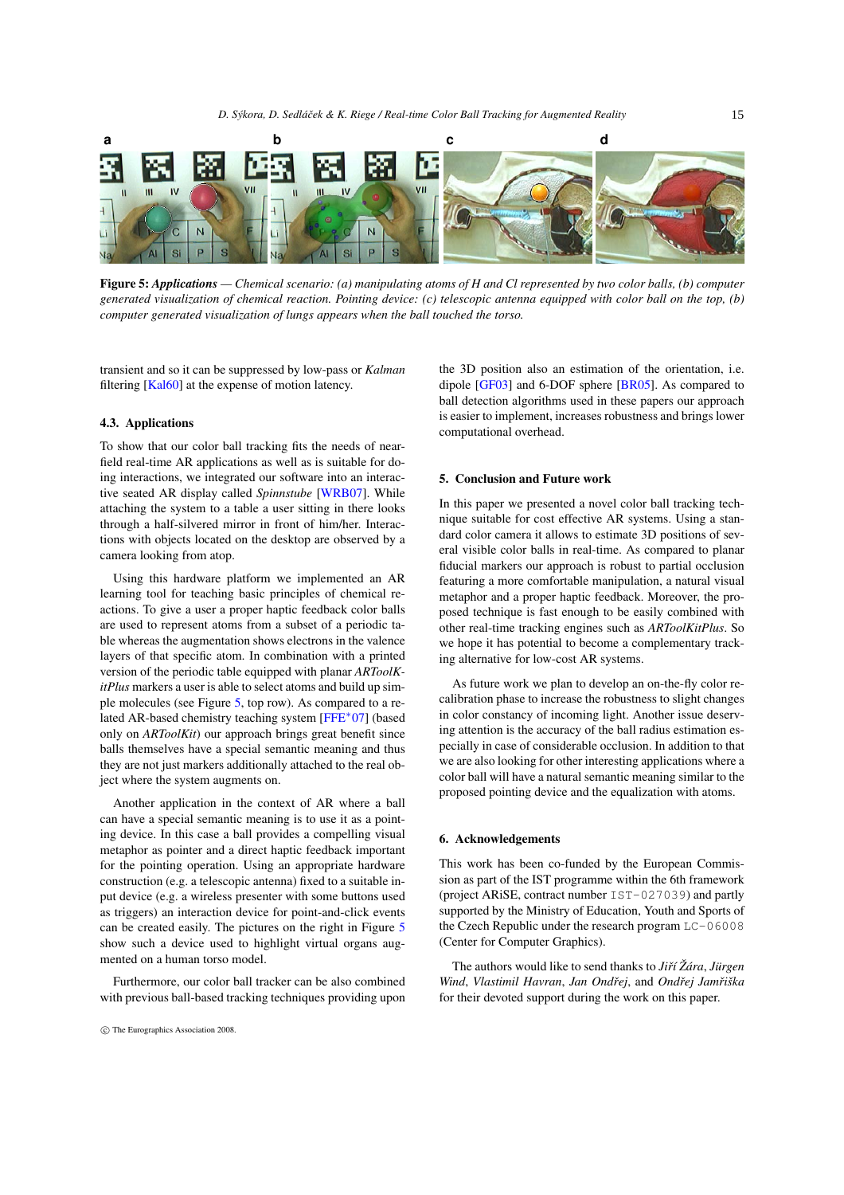<span id="page-6-2"></span>

Figure 5: *Applications — Chemical scenario: (a) manipulating atoms of H and Cl represented by two color balls, (b) computer generated visualization of chemical reaction. Pointing device: (c) telescopic antenna equipped with color ball on the top, (b) computer generated visualization of lungs appears when the ball touched the torso.*

<span id="page-6-1"></span>transient and so it can be suppressed by low-pass or *Kalman* filtering [\[Kal60\]](#page-7-26) at the expense of motion latency.

# 4.3. Applications

To show that our color ball tracking fits the needs of nearfield real-time AR applications as well as is suitable for doing interactions, we integrated our software into an interactive seated AR display called *Spinnstube* [\[WRB07\]](#page-7-27). While attaching the system to a table a user sitting in there looks through a half-silvered mirror in front of him/her. Interactions with objects located on the desktop are observed by a camera looking from atop.

Using this hardware platform we implemented an AR learning tool for teaching basic principles of chemical reactions. To give a user a proper haptic feedback color balls are used to represent atoms from a subset of a periodic table whereas the augmentation shows electrons in the valence layers of that specific atom. In combination with a printed version of the periodic table equipped with planar *ARToolKitPlus* markers a user is able to select atoms and build up simple molecules (see Figure [5,](#page-6-1) top row). As compared to a related AR-based chemistry teaching system [\[FFE](#page-7-28)∗07] (based only on *ARToolKit*) our approach brings great benefit since balls themselves have a special semantic meaning and thus they are not just markers additionally attached to the real object where the system augments on.

Another application in the context of AR where a ball can have a special semantic meaning is to use it as a pointing device. In this case a ball provides a compelling visual metaphor as pointer and a direct haptic feedback important for the pointing operation. Using an appropriate hardware construction (e.g. a telescopic antenna) fixed to a suitable input device (e.g. a wireless presenter with some buttons used as triggers) an interaction device for point-and-click events can be created easily. The pictures on the right in Figure [5](#page-6-1) show such a device used to highlight virtual organs augmented on a human torso model.

Furthermore, our color ball tracker can be also combined with previous ball-based tracking techniques providing upon the 3D position also an estimation of the orientation, i.e. dipole [\[GF03\]](#page-7-5) and 6-DOF sphere [\[BR05\]](#page-7-6). As compared to ball detection algorithms used in these papers our approach is easier to implement, increases robustness and brings lower computational overhead.

# <span id="page-6-0"></span>5. Conclusion and Future work

In this paper we presented a novel color ball tracking technique suitable for cost effective AR systems. Using a standard color camera it allows to estimate 3D positions of several visible color balls in real-time. As compared to planar fiducial markers our approach is robust to partial occlusion featuring a more comfortable manipulation, a natural visual metaphor and a proper haptic feedback. Moreover, the proposed technique is fast enough to be easily combined with other real-time tracking engines such as *ARToolKitPlus*. So we hope it has potential to become a complementary tracking alternative for low-cost AR systems.

As future work we plan to develop an on-the-fly color recalibration phase to increase the robustness to slight changes in color constancy of incoming light. Another issue deserving attention is the accuracy of the ball radius estimation especially in case of considerable occlusion. In addition to that we are also looking for other interesting applications where a color ball will have a natural semantic meaning similar to the proposed pointing device and the equalization with atoms.

#### 6. Acknowledgements

This work has been co-funded by the European Commission as part of the IST programme within the 6th framework (project ARiSE, contract number IST-027039) and partly supported by the Ministry of Education, Youth and Sports of the Czech Republic under the research program LC-06008 (Center for Computer Graphics).

The authors would like to send thanks to *Jiˇrí Žára*, *Jürgen Wind*, *Vlastimil Havran*, *Jan Ondˇrej*, and *Ondˇrej Jamˇriška* for their devoted support during the work on this paper.